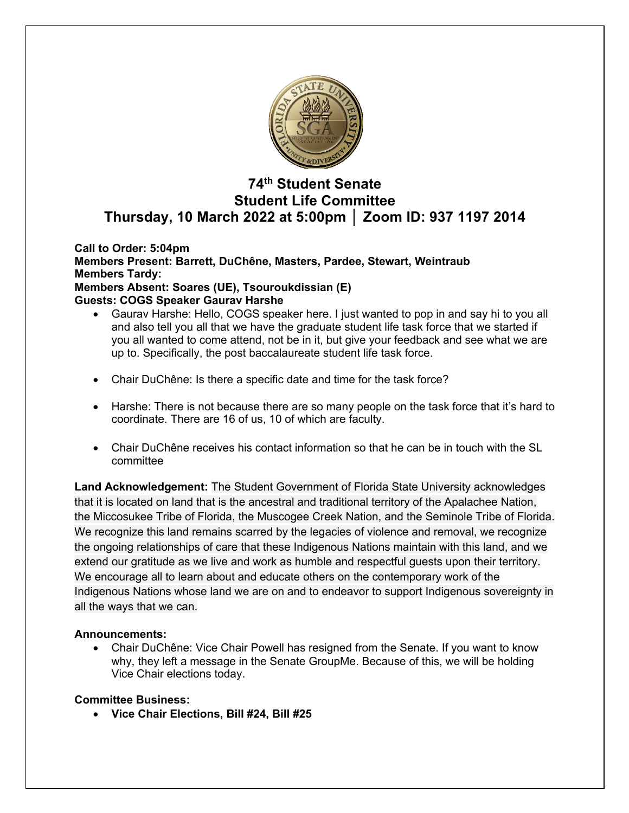

# **74th Student Senate Student Life Committee Thursday, 10 March 2022 at 5:00pm │ Zoom ID: 937 1197 2014**

**Call to Order: 5:04pm Members Present: Barrett, DuChêne, Masters, Pardee, Stewart, Weintraub Members Tardy: Members Absent: Soares (UE), Tsouroukdissian (E) Guests: COGS Speaker Gaurav Harshe**

- Gaurav Harshe: Hello, COGS speaker here. I just wanted to pop in and say hi to you all and also tell you all that we have the graduate student life task force that we started if you all wanted to come attend, not be in it, but give your feedback and see what we are up to. Specifically, the post baccalaureate student life task force.
- Chair DuChêne: Is there a specific date and time for the task force?
- Harshe: There is not because there are so many people on the task force that it's hard to coordinate. There are 16 of us, 10 of which are faculty.
- Chair DuChêne receives his contact information so that he can be in touch with the SL committee

**Land Acknowledgement:** The Student Government of Florida State University acknowledges that it is located on land that is the ancestral and traditional territory of the Apalachee Nation, the Miccosukee Tribe of Florida, the Muscogee Creek Nation, and the Seminole Tribe of Florida. We recognize this land remains scarred by the legacies of violence and removal, we recognize the ongoing relationships of care that these Indigenous Nations maintain with this land, and we extend our gratitude as we live and work as humble and respectful guests upon their territory. We encourage all to learn about and educate others on the contemporary work of the Indigenous Nations whose land we are on and to endeavor to support Indigenous sovereignty in all the ways that we can.

## **Announcements:**

• Chair DuChêne: Vice Chair Powell has resigned from the Senate. If you want to know why, they left a message in the Senate GroupMe. Because of this, we will be holding Vice Chair elections today.

## **Committee Business:**

• **Vice Chair Elections, Bill #24, Bill #25**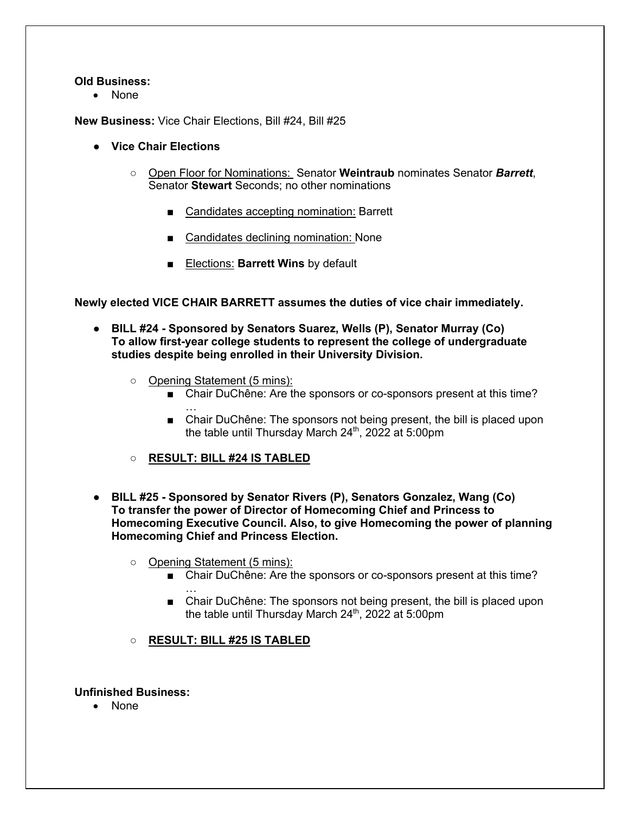#### **Old Business:**

• None

**New Business:** Vice Chair Elections, Bill #24, Bill #25

- **Vice Chair Elections**
	- Open Floor for Nominations: Senator **Weintraub** nominates Senator *Barrett*, Senator **Stewart** Seconds; no other nominations
		- Candidates accepting nomination: Barrett
		- Candidates declining nomination: None
		- **Elections: Barrett Wins** by default

**Newly elected VICE CHAIR BARRETT assumes the duties of vice chair immediately.**

- **BILL #24 - Sponsored by Senators Suarez, Wells (P), Senator Murray (Co) To allow first-year college students to represent the college of undergraduate studies despite being enrolled in their University Division.**
	- Opening Statement (5 mins):
		- Chair DuChêne: Are the sponsors or co-sponsors present at this time? …
		- Chair DuChêne: The sponsors not being present, the bill is placed upon the table until Thursday March 24<sup>th</sup>, 2022 at 5:00pm
	- **RESULT: BILL #24 IS TABLED**
- **BILL #25 - Sponsored by Senator Rivers (P), Senators Gonzalez, Wang (Co) To transfer the power of Director of Homecoming Chief and Princess to Homecoming Executive Council. Also, to give Homecoming the power of planning Homecoming Chief and Princess Election.**
	- Opening Statement (5 mins):
		- Chair DuChêne: Are the sponsors or co-sponsors present at this time?
		- … ■ Chair DuChêne: The sponsors not being present, the bill is placed upon the table until Thursday March  $24<sup>th</sup>$ , 2022 at 5:00pm
	- **RESULT: BILL #25 IS TABLED**

#### **Unfinished Business:**

• None